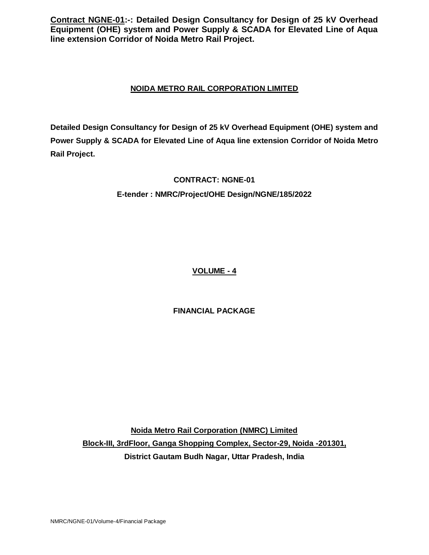# **NOIDA METRO RAIL CORPORATION LIMITED**

**Detailed Design Consultancy for Design of 25 kV Overhead Equipment (OHE) system and Power Supply & SCADA for Elevated Line of Aqua line extension Corridor of Noida Metro Rail Project.**

# **CONTRACT: NGNE-01**

# **E-tender : NMRC/Project/OHE Design/NGNE/185/2022**

**VOLUME - 4**

# **FINANCIAL PACKAGE**

**Noida Metro Rail Corporation (NMRC) Limited Block-III, 3rdFloor, Ganga Shopping Complex, Sector-29, Noida -201301, District Gautam Budh Nagar, Uttar Pradesh, India**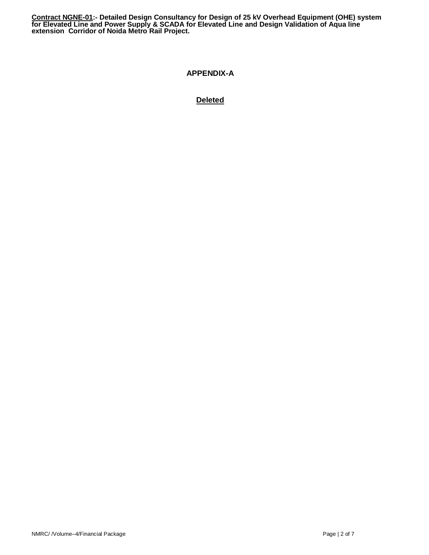# **APPENDIX-A**

# **Deleted**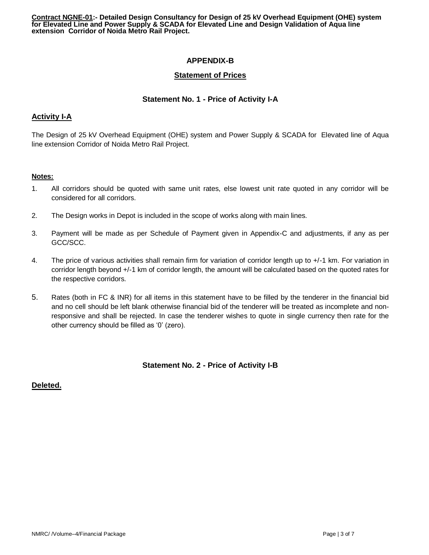# **APPENDIX-B**

## **Statement of Prices**

### **Statement No. 1 - Price of Activity I-A**

### **Activity I-A**

The Design of 25 kV Overhead Equipment (OHE) system and Power Supply & SCADA for Elevated line of Aqua line extension Corridor of Noida Metro Rail Project.

#### **Notes:**

- 1. All corridors should be quoted with same unit rates, else lowest unit rate quoted in any corridor will be considered for all corridors.
- 2. The Design works in Depot is included in the scope of works along with main lines.
- 3. Payment will be made as per Schedule of Payment given in Appendix-C and adjustments, if any as per GCC/SCC.
- 4. The price of various activities shall remain firm for variation of corridor length up to +/-1 km. For variation in corridor length beyond +/-1 km of corridor length, the amount will be calculated based on the quoted rates for the respective corridors.
- 5. Rates (both in FC & INR) for all items in this statement have to be filled by the tenderer in the financial bid and no cell should be left blank otherwise financial bid of the tenderer will be treated as incomplete and nonresponsive and shall be rejected. In case the tenderer wishes to quote in single currency then rate for the other currency should be filled as '0' (zero).

### **Statement No. 2 - Price of Activity I-B**

### **Deleted.**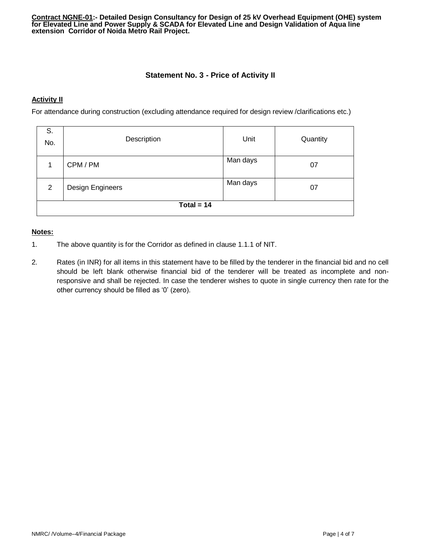## **Statement No. 3 - Price of Activity II**

#### **Activity II**

For attendance during construction (excluding attendance required for design review /clarifications etc.)

| S.<br>No.    | Description                        | Unit     | Quantity |  |  |
|--------------|------------------------------------|----------|----------|--|--|
|              | CPM / PM                           | Man days | 07       |  |  |
| 2            | Man days<br>Design Engineers<br>07 |          |          |  |  |
| Total = $14$ |                                    |          |          |  |  |

#### **Notes:**

- 1. The above quantity is for the Corridor as defined in clause 1.1.1 of NIT.
- 2. Rates (in INR) for all items in this statement have to be filled by the tenderer in the financial bid and no cell should be left blank otherwise financial bid of the tenderer will be treated as incomplete and nonresponsive and shall be rejected. In case the tenderer wishes to quote in single currency then rate for the other currency should be filled as '0' (zero).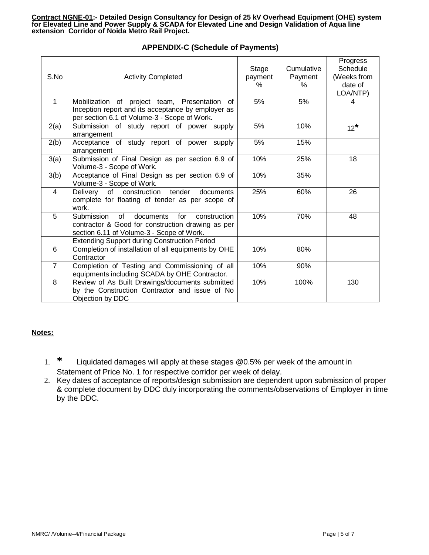| S.No           | <b>Activity Completed</b>                                                                                                                                                                                  | Stage<br>payment<br>$\%$ | Cumulative<br>Payment<br>$\%$ | Progress<br>Schedule<br>(Weeks from<br>date of<br>LOA/NTP) |
|----------------|------------------------------------------------------------------------------------------------------------------------------------------------------------------------------------------------------------|--------------------------|-------------------------------|------------------------------------------------------------|
| 1              | Mobilization of project team, Presentation<br>0f<br>Inception report and its acceptance by employer as<br>per section 6.1 of Volume-3 - Scope of Work.                                                     | 5%                       | 5%                            | 4                                                          |
| 2(a)           | Submission of study report of power supply<br>arrangement                                                                                                                                                  | 5%                       | 10%                           | $12^*$                                                     |
| 2(b)           | Acceptance of study report of power supply<br>arrangement                                                                                                                                                  | 5%                       | 15%                           |                                                            |
| 3(a)           | Submission of Final Design as per section 6.9 of<br>Volume-3 - Scope of Work.                                                                                                                              | 10%                      | 25%                           | 18                                                         |
| 3(b)           | Acceptance of Final Design as per section 6.9 of<br>Volume-3 - Scope of Work.                                                                                                                              | 10%                      | 35%                           |                                                            |
| $\overline{4}$ | of construction tender<br>Delivery<br>documents<br>complete for floating of tender as per scope of<br>work.                                                                                                | 25%                      | 60%                           | 26                                                         |
| 5              | of<br>Submission<br>documents for<br>construction<br>contractor & Good for construction drawing as per<br>section 6.11 of Volume-3 - Scope of Work.<br><b>Extending Support during Construction Period</b> | 10%                      | 70%                           | 48                                                         |
| 6              | Completion of installation of all equipments by OHE                                                                                                                                                        | 10%                      | 80%                           |                                                            |
|                | Contractor                                                                                                                                                                                                 |                          |                               |                                                            |
| $\overline{7}$ | Completion of Testing and Commissioning of all<br>equipments including SCADA by OHE Contractor.                                                                                                            | 10%                      | 90%                           |                                                            |
| 8              | Review of As Built Drawings/documents submitted<br>by the Construction Contractor and issue of No<br>Objection by DDC                                                                                      | 10%                      | 100%                          | 130                                                        |

# **APPENDIX-C (Schedule of Payments)**

### **Notes:**

- 1. **\*** Liquidated damages will apply at these stages @0.5% per week of the amount in Statement of Price No. 1 for respective corridor per week of delay.
- 2. Key dates of acceptance of reports/design submission are dependent upon submission of proper & complete document by DDC duly incorporating the comments/observations of Employer in time by the DDC.